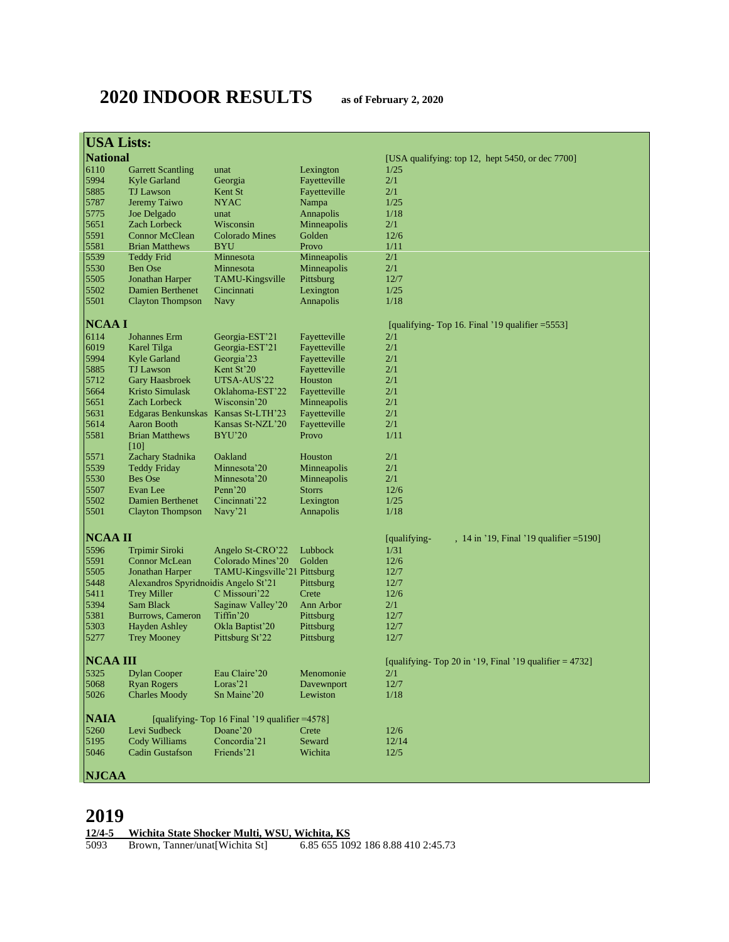# **2020 INDOOR RESULTS as of February 2, 2020**

| <b>USA Lists:</b> |                                                |                                                |                                                        |                                                          |
|-------------------|------------------------------------------------|------------------------------------------------|--------------------------------------------------------|----------------------------------------------------------|
| <b>National</b>   |                                                |                                                |                                                        | [USA qualifying: top 12, hept 5450, or dec $7700$ ]      |
| 6110              | <b>Garrett Scantling</b>                       | unat                                           | Lexington                                              | 1/25                                                     |
| 5994              | Kyle Garland                                   | Georgia                                        | Fayetteville                                           | 2/1                                                      |
| 5885              | <b>TJ</b> Lawson                               | Kent St                                        | Fayetteville                                           | 2/1                                                      |
| 5787              | Jeremy Taiwo                                   | NYAC                                           | Nampa                                                  | 1/25                                                     |
| 5775              | Joe Delgado                                    | unat                                           | Annapolis                                              | 1/18                                                     |
| 5651              | <b>Zach Lorbeck</b>                            | Wisconsin                                      | Minneapolis                                            | 2/1                                                      |
| 5591<br>5581      | <b>Connor McClean</b><br><b>Brian Matthews</b> | <b>Colorado Mines</b><br>BYU                   | Golden<br>Provo                                        | 12/6<br>1/11                                             |
| 5539              | <b>Teddy Frid</b>                              | Minnesota                                      | Minneapolis                                            | 2/1                                                      |
| 5530              | <b>Ben Ose</b>                                 | Minnesota                                      | Minneapolis                                            | 2/1                                                      |
| 5505              | Jonathan Harper                                | TAMU-Kingsville                                | Pittsburg                                              | 12/7                                                     |
| 5502              | Damien Berthenet                               | Cincinnati                                     | Lexington                                              | 1/25                                                     |
| 5501              | <b>Clayton Thompson</b>                        | Navy                                           | Annapolis                                              | 1/18                                                     |
| <b>NCAAI</b>      |                                                |                                                |                                                        | [qualifying-Top 16. Final '19 qualifier $=5553$ ]        |
| 6114              | Johannes Erm                                   | Georgia-EST'21                                 | Fayetteville                                           | 2/1                                                      |
| 6019              | Karel Tilga                                    | Georgia-EST'21                                 | Fayetteville                                           | 2/1                                                      |
| 5994              | Kyle Garland                                   | Georgia <sup>223</sup>                         | Fayetteville                                           | 2/1                                                      |
| 5885              | <b>TJ</b> Lawson                               | Kent St'20                                     | Fayetteville                                           | 2/1                                                      |
| 5712              | <b>Gary Haasbroek</b>                          | UTSA-AUS'22                                    | Houston                                                | 2/1                                                      |
| 5664              | <b>Kristo Simulask</b>                         | Oklahoma-EST'22                                | Fayetteville                                           | 2/1                                                      |
| 5651              | <b>Zach Lorbeck</b>                            | Wisconsin'20                                   | Minneapolis                                            | 2/1                                                      |
| 5631              | Edgaras Benkunskas Kansas St-LTH'23            |                                                | Fayetteville                                           | 2/1                                                      |
| 5614              | Aaron Booth                                    | Kansas St-NZL'20                               | Fayetteville                                           | 2/1                                                      |
| 5581              | <b>Brian Matthews</b><br>$[10]$                | BYU'20                                         | Provo                                                  | 1/11                                                     |
| 5571              | Zachary Stadnika                               | Oakland                                        | Houston                                                | 2/1                                                      |
| 5539              | <b>Teddy Friday</b><br>Bes Ose                 | Minnesota'20<br>Minnesota'20                   | Minneapolis                                            | 2/1<br>2/1                                               |
| 5530<br>5507      | Evan Lee                                       | Penn'20                                        | Minneapolis<br><b>Storrs</b>                           | 12/6                                                     |
| 5502              | Damien Berthenet                               | Cincinnati'22                                  | Lexington                                              | 1/25                                                     |
| 5501              | <b>Clayton Thompson</b>                        | Navy'21                                        | Annapolis                                              | 1/18                                                     |
|                   |                                                |                                                |                                                        |                                                          |
| <b>NCAA II</b>    |                                                |                                                |                                                        | [qualifying-<br>, 14 in '19, Final '19 qualifier = 5190] |
| 5596<br>5591      | Trpimir Siroki<br><b>Connor McLean</b>         | Angelo St-CRO'22<br>Colorado Mines'20          | Lubbock<br>Golden                                      | 1/31<br>12/6                                             |
| 5505              | Jonathan Harper                                | TAMU-Kingsville'21 Pittsburg                   |                                                        | 12/7                                                     |
| 5448              | Alexandros Spyridnoidis Angelo St'21           |                                                | Pittsburg                                              | 12/7                                                     |
| 5411              | <b>Trey Miller</b>                             | C Missouri'22                                  | Crete                                                  | 12/6                                                     |
| 5394              | Sam Black                                      | Saginaw Valley'20                              | Ann Arbor                                              | 2/1                                                      |
| 5381              | Burrows, Cameron                               | Tiffin'20                                      | Pittsburg                                              | 12/7                                                     |
| 5303              | <b>Hayden Ashley</b>                           | Okla Baptist'20                                | Pittsburg                                              | 12/7                                                     |
| 5277              | <b>Trey Mooney</b>                             | Pittsburg St'22                                | Pittsburg                                              | 12/7                                                     |
| NCAA III          |                                                |                                                | [qualifying-Top 20 in '19, Final '19 qualifier = 4732] |                                                          |
| 5325              | <b>Dylan Cooper</b>                            | Eau Claire'20                                  | Menomonie                                              | 2/1                                                      |
| 5068              | <b>Ryan Rogers</b>                             | Loras'21                                       | Davewnport                                             | 12/7                                                     |
| 5026              | <b>Charles Moody</b>                           | Sn Maine'20                                    | Lewiston                                               | 1/18                                                     |
| <b>NAIA</b>       |                                                | [qualifying-Top 16 Final '19 qualifier = 4578] |                                                        |                                                          |
| 5260              | Levi Sudbeck                                   | Doane'20                                       | Crete                                                  | 12/6                                                     |
| 5195              | Cody Williams                                  | Concordia'21                                   | Seward                                                 | 12/14                                                    |
| 5046              | <b>Cadin Gustafson</b>                         | Friends'21                                     | Wichita                                                | 12/5                                                     |
| <b>NJCAA</b>      |                                                |                                                |                                                        |                                                          |

# 

**12/4-5 Wichita State Shocker Multi, WSU, Wichita, KS**

Brown, Tanner/unat[Wichita St] 6.85 655 1092 186 8.88 410 2:45.73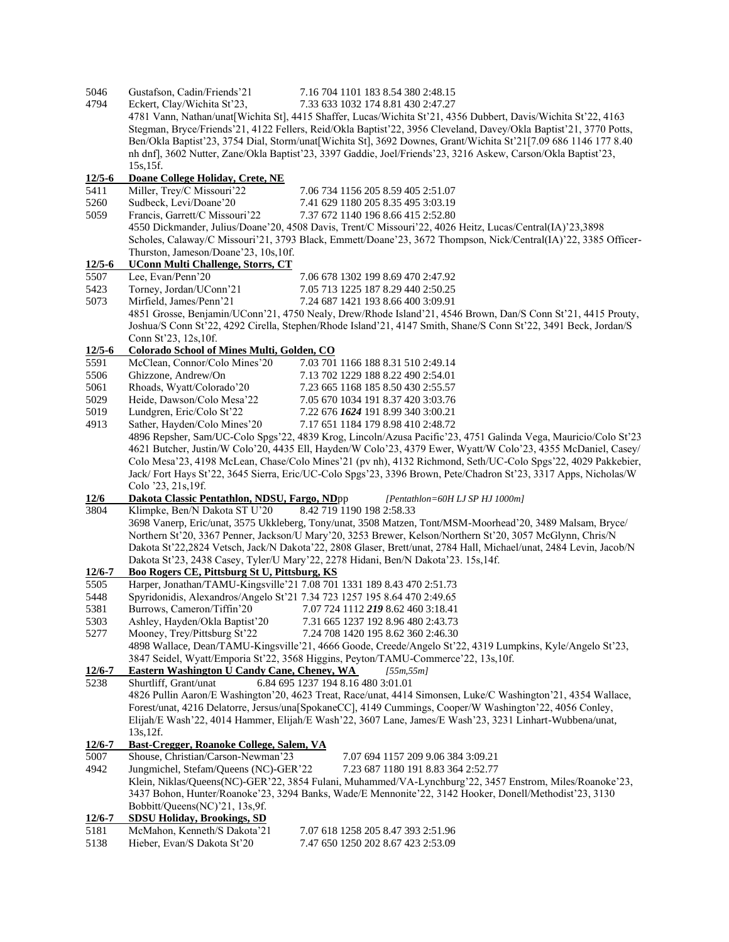| 5046         | Gustafson, Cadin/Friends'21                                              | 7.16 704 1101 183 8.54 380 2:48.15                                                                                |
|--------------|--------------------------------------------------------------------------|-------------------------------------------------------------------------------------------------------------------|
| 4794         | Eckert, Clay/Wichita St'23,                                              | 7.33 633 1032 174 8.81 430 2:47.27                                                                                |
|              |                                                                          | 4781 Vann, Nathan/unat[Wichita St], 4415 Shaffer, Lucas/Wichita St'21, 4356 Dubbert, Davis/Wichita St'22, 4163    |
|              |                                                                          | Stegman, Bryce/Friends'21, 4122 Fellers, Reid/Okla Baptist'22, 3956 Cleveland, Davey/Okla Baptist'21, 3770 Potts, |
|              |                                                                          | Ben/Okla Baptist'23, 3754 Dial, Storm/unat[Wichita St], 3692 Downes, Grant/Wichita St'21[7.09 686 1146 177 8.40   |
|              |                                                                          | nh dnf], 3602 Nutter, Zane/Okla Baptist'23, 3397 Gaddie, Joel/Friends'23, 3216 Askew, Carson/Okla Baptist'23,     |
|              | 15s, 15f.                                                                |                                                                                                                   |
| $12/5 - 6$   | Doane College Holiday, Crete, NE                                         |                                                                                                                   |
| 5411         | Miller, Trey/C Missouri'22                                               | 7.06 734 1156 205 8.59 405 2:51.07                                                                                |
| 5260         | Sudbeck, Levi/Doane'20                                                   | 7.41 629 1180 205 8.35 495 3:03.19                                                                                |
| 5059         | Francis, Garrett/C Missouri'22                                           | 7.37 672 1140 196 8.66 415 2:52.80                                                                                |
|              |                                                                          | 4550 Dickmander, Julius/Doane' 20, 4508 Davis, Trent/C Missouri' 22, 4026 Heitz, Lucas/Central(IA)' 23,3898       |
|              |                                                                          | Scholes, Calaway/C Missouri'21, 3793 Black, Emmett/Doane'23, 3672 Thompson, Nick/Central(IA)'22, 3385 Officer-    |
|              | Thurston, Jameson/Doane'23, 10s, 10f.                                    |                                                                                                                   |
| $12/5 - 6$   | <b>UConn Multi Challenge, Storrs, CT</b>                                 |                                                                                                                   |
| 5507         | Lee, Evan/Penn'20                                                        | 7.06 678 1302 199 8.69 470 2:47.92                                                                                |
| 5423         | Torney, Jordan/UConn'21                                                  | 7.05 713 1225 187 8.29 440 2:50.25                                                                                |
| 5073         |                                                                          |                                                                                                                   |
|              | Mirfield, James/Penn'21                                                  | 7.24 687 1421 193 8.66 400 3:09.91                                                                                |
|              |                                                                          | 4851 Grosse, Benjamin/UConn'21, 4750 Nealy, Drew/Rhode Island'21, 4546 Brown, Dan/S Conn St'21, 4415 Prouty,      |
|              |                                                                          | Joshua/S Conn St'22, 4292 Cirella, Stephen/Rhode Island'21, 4147 Smith, Shane/S Conn St'22, 3491 Beck, Jordan/S   |
|              | Conn St'23, 12s, 10f.                                                    |                                                                                                                   |
| $12/5 - 6$   | Colorado School of Mines Multi, Golden, CO                               |                                                                                                                   |
| 5591         | McClean, Connor/Colo Mines'20                                            | 7.03 701 1166 188 8.31 510 2:49.14                                                                                |
| 5506         | Ghizzone, Andrew/On                                                      | 7.13 702 1229 188 8.22 490 2:54.01                                                                                |
| 5061         | Rhoads, Wyatt/Colorado'20                                                | 7.23 665 1168 185 8.50 430 2:55.57                                                                                |
| 5029         | Heide, Dawson/Colo Mesa'22                                               | 7.05 670 1034 191 8.37 420 3:03.76                                                                                |
| 5019         | Lundgren, Eric/Colo St'22                                                | 7.22 676 1624 191 8.99 340 3:00.21                                                                                |
| 4913         | Sather, Hayden/Colo Mines'20                                             | 7.17 651 1184 179 8.98 410 2:48.72                                                                                |
|              |                                                                          | 4896 Repsher, Sam/UC-Colo Spgs'22, 4839 Krog, Lincoln/Azusa Pacific'23, 4751 Galinda Vega, Mauricio/Colo St'23    |
|              |                                                                          | 4621 Butcher, Justin/W Colo'20, 4435 Ell, Hayden/W Colo'23, 4379 Ewer, Wyatt/W Colo'23, 4355 McDaniel, Casey/     |
|              |                                                                          | Colo Mesa'23, 4198 McLean, Chase/Colo Mines'21 (pv nh), 4132 Richmond, Seth/UC-Colo Spgs'22, 4029 Pakkebier,      |
|              |                                                                          | Jack/Fort Hays St'22, 3645 Sierra, Eric/UC-Colo Spgs'23, 3396 Brown, Pete/Chadron St'23, 3317 Apps, Nicholas/W    |
|              | Colo '23, 21s, 19f.                                                      |                                                                                                                   |
| 12/6         | Dakota Classic Pentathlon, NDSU, Fargo, NDpp                             | [Pentathlon=60H LJ SP HJ 1000m]                                                                                   |
| 3804         | Klimpke, Ben/N Dakota ST U'20                                            | 8.42 719 1190 198 2:58.33                                                                                         |
|              |                                                                          | 3698 Vanerp, Eric/unat, 3575 Ukkleberg, Tony/unat, 3508 Matzen, Tont/MSM-Moorhead'20, 3489 Malsam, Bryce/         |
|              |                                                                          | Northern St'20, 3367 Penner, Jackson/U Mary'20, 3253 Brewer, Kelson/Northern St'20, 3057 McGlynn, Chris/N         |
|              |                                                                          | Dakota St'22,2824 Vetsch, Jack/N Dakota'22, 2808 Glaser, Brett/unat, 2784 Hall, Michael/unat, 2484 Levin, Jacob/N |
|              |                                                                          | Dakota St'23, 2438 Casey, Tyler/U Mary'22, 2278 Hidani, Ben/N Dakota'23. 15s, 14f.                                |
| $12/6 - 7$   | <b>Boo Rogers CE, Pittsburg St U, Pittsburg, KS</b>                      |                                                                                                                   |
| 5505         | Harper, Jonathan/TAMU-Kingsville'21 7.08 701 1331 189 8.43 470 2:51.73   |                                                                                                                   |
| 5448         | Spyridonidis, Alexandros/Angelo St'21 7.34 723 1257 195 8.64 470 2:49.65 |                                                                                                                   |
| 5381         | Burrows, Cameron/Tiffin'20                                               | 7.07 724 1112 219 8.62 460 3:18.41                                                                                |
| 5303         | Ashley, Hayden/Okla Baptist'20 7.31 665 1237 192 8.96 480 2:43.73        |                                                                                                                   |
| 5277         | Mooney, Trey/Pittsburg St'22                                             | 7.24 708 1420 195 8.62 360 2:46.30                                                                                |
|              |                                                                          | 4898 Wallace, Dean/TAMU-Kingsville'21, 4666 Goode, Creede/Angelo St'22, 4319 Lumpkins, Kyle/Angelo St'23,         |
|              |                                                                          | 3847 Seidel, Wyatt/Emporia St'22, 3568 Higgins, Peyton/TAMU-Commerce'22, 13s,10f.                                 |
| $12/6 - 7$   | <b>Eastern Washington U Candy Cane, Cheney, WA</b>                       | 155m, 55m1                                                                                                        |
| 5238         | Shurtliff, Grant/unat                                                    | 6.84 695 1237 194 8.16 480 3:01.01                                                                                |
|              |                                                                          | 4826 Pullin Aaron/E Washington'20, 4623 Treat, Race/unat, 4414 Simonsen, Luke/C Washington'21, 4354 Wallace,      |
|              |                                                                          | Forest/unat, 4216 Delatorre, Jersus/una[SpokaneCC], 4149 Cummings, Cooper/W Washington'22, 4056 Conley,           |
|              |                                                                          | Elijah/E Wash'22, 4014 Hammer, Elijah/E Wash'22, 3607 Lane, James/E Wash'23, 3231 Linhart-Wubbena/unat,           |
|              | 13s, 12f.                                                                |                                                                                                                   |
| $12/6 - 7$   | Bast-Cregger, Roanoke College, Salem, VA                                 |                                                                                                                   |
| 5007         | Shouse, Christian/Carson-Newman'23                                       | 7.07 694 1157 209 9.06 384 3:09.21                                                                                |
| 4942         | Jungmichel, Stefam/Queens (NC)-GER'22                                    | 7.23 687 1180 191 8.83 364 2:52.77                                                                                |
|              |                                                                          | Klein, Niklas/Queens(NC)-GER'22, 3854 Fulani, Muhammed/VA-Lynchburg'22, 3457 Enstrom, Miles/Roanoke'23,           |
|              |                                                                          |                                                                                                                   |
|              | Bobbitt/Queens(NC)'21, 13s,9f.                                           | 3437 Bohon, Hunter/Roanoke'23, 3294 Banks, Wade/E Mennonite'22, 3142 Hooker, Donell/Methodist'23, 3130            |
|              |                                                                          |                                                                                                                   |
| $12/6 - 7$   | <b>SDSU Holiday, Brookings, SD</b><br>McMahon, Kenneth/S Dakota'21       |                                                                                                                   |
| 5181<br>5138 | Hieber, Evan/S Dakota St'20                                              | 7.07 618 1258 205 8.47 393 2:51.96                                                                                |
|              |                                                                          | 7.47 650 1250 202 8.67 423 2:53.09                                                                                |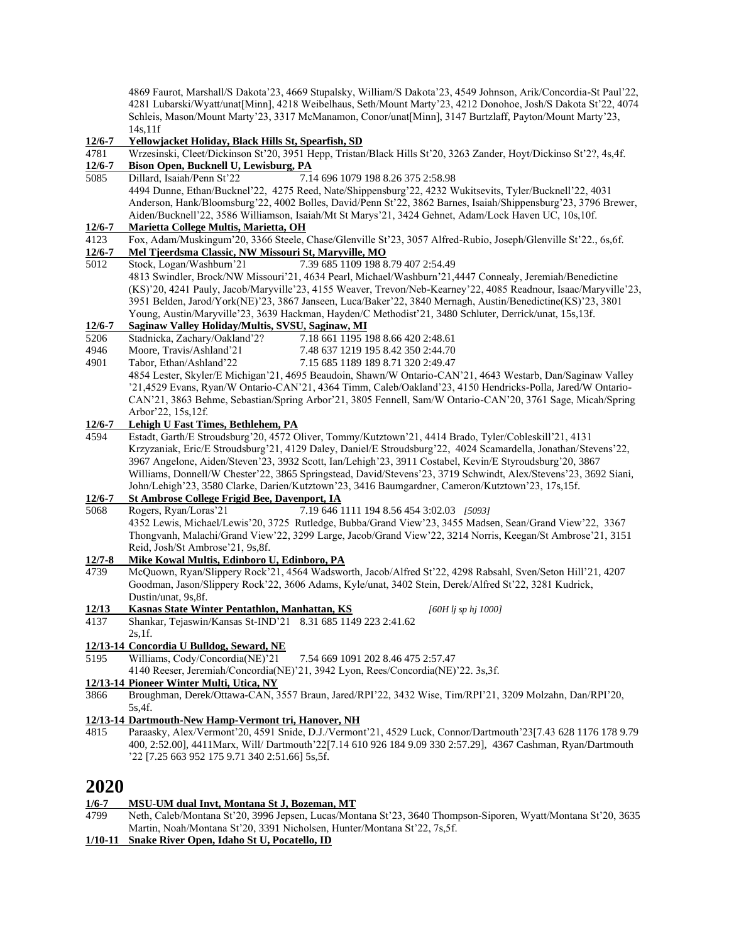4869 Faurot, Marshall/S Dakota'23, 4669 Stupalsky, William/S Dakota'23, 4549 Johnson, Arik/Concordia-St Paul'22, 4281 Lubarski/Wyatt/unat[Minn], 4218 Weibelhaus, Seth/Mount Marty'23, 4212 Donohoe, Josh/S Dakota St'22, 4074 Schleis, Mason/Mount Marty'23, 3317 McManamon, Conor/unat[Minn], 3147 Burtzlaff, Payton/Mount Marty'23, 14s,11f

#### **12/6-7 Yellowjacket Holiday, Black Hills St, Spearfish, SD**

4781 Wrzesinski, Cleet/Dickinson St'20, 3951 Hepp, Tristan/Black Hills St'20, 3263 Zander, Hoyt/Dickinso St'2?, 4s,4f.

# **12/6-7 Bison Open, Bucknell U, Lewisburg, PA**

5085 Dillard, Isaiah/Penn St'22 7.14 696 1079 198 8.26 375 2:58.98 4494 Dunne, Ethan/Bucknel'22, 4275 Reed, Nate/Shippensburg'22, 4232 Wukitsevits, Tyler/Bucknell'22, 4031 Anderson, Hank/Bloomsburg'22, 4002 Bolles, David/Penn St'22, 3862 Barnes, Isaiah/Shippensburg'23, 3796 Brewer, Aiden/Bucknell'22, 3586 Williamson, Isaiah/Mt St Marys'21, 3424 Gehnet, Adam/Lock Haven UC, 10s,10f.

### **12/6-7 Marietta College Multis, Marietta, OH**

4123 Fox, Adam/Muskingum'20, 3366 Steele, Chase/Glenville St'23, 3057 Alfred-Rubio, Joseph/Glenville St'22., 6s,6f.

# **12/6-7 Mel Tjeerdsma Classic, NW Missouri St, Maryville, MO**

5012 Stock, Logan/Washburn'21 7.39 685 1109 198 8.79 407 2:54.49 4813 Swindler, Brock/NW Missouri'21, 4634 Pearl, Michael/Washburn'21,4447 Connealy, Jeremiah/Benedictine (KS)'20, 4241 Pauly, Jacob/Maryville'23, 4155 Weaver, Trevon/Neb-Kearney'22, 4085 Readnour, Isaac/Maryville'23, 3951 Belden, Jarod/York(NE)'23, 3867 Janseen, Luca/Baker'22, 3840 Mernagh, Austin/Benedictine(KS)'23, 3801 Young, Austin/Maryville'23, 3639 Hackman, Hayden/C Methodist'21, 3480 Schluter, Derrick/unat, 15s,13f.

#### **12/6-7 Saginaw Valley Holiday/Multis, SVSU, Saginaw, MI**

- 5206 Stadnicka, Zachary/Oakland'2? 7.18 661 1195 198 8.66 420 2:48.61
- 4946 Moore, Travis/Ashland'21 7.48 637 1219 195 8.42 350 2:44.70
- 4901 Tabor, Ethan/Ashland'22 7.15 685 1189 189 8.71 320 2:49.47
	- 4854 Lester, Skyler/E Michigan'21, 4695 Beaudoin, Shawn/W Ontario-CAN'21, 4643 Westarb, Dan/Saginaw Valley '21,4529 Evans, Ryan/W Ontario-CAN'21, 4364 Timm, Caleb/Oakland'23, 4150 Hendricks-Polla, Jared/W Ontario-CAN'21, 3863 Behme, Sebastian/Spring Arbor'21, 3805 Fennell, Sam/W Ontario-CAN'20, 3761 Sage, Micah/Spring Arbor'22, 15s,12f.

### **12/6-7 Lehigh U Fast Times, Bethlehem, PA**

4594 Estadt, Garth/E Stroudsburg'20, 4572 Oliver, Tommy/Kutztown'21, 4414 Brado, Tyler/Cobleskill'21, 4131 Krzyzaniak, Eric/E Stroudsburg'21, 4129 Daley, Daniel/E Stroudsburg'22, 4024 Scamardella, Jonathan/Stevens'22, 3967 Angelone, Aiden/Steven'23, 3932 Scott, Ian/Lehigh'23, 3911 Costabel, Kevin/E Styroudsburg'20, 3867 Williams, Donnell/W Chester'22, 3865 Springstead, David/Stevens'23, 3719 Schwindt, Alex/Stevens'23, 3692 Siani, John/Lehigh'23, 3580 Clarke, Darien/Kutztown'23, 3416 Baumgardner, Cameron/Kutztown'23, 17s,15f.

# **12/6-7 St Ambrose College Frigid Bee, Davenport, IA**

5068 Rogers, Ryan/Loras'21 7.19 646 1111 194 8.56 454 3:02.03 *[5093]*

4352 Lewis, Michael/Lewis'20, 3725 Rutledge, Bubba/Grand View'23, 3455 Madsen, Sean/Grand View'22, 3367 Thongvanh, Malachi/Grand View'22, 3299 Large, Jacob/Grand View'22, 3214 Norris, Keegan/St Ambrose'21, 3151 Reid, Josh/St Ambrose'21, 9s,8f.

# **12/7-8 Mike Kowal Multis, Edinboro U, Edinboro, PA**

4739 McQuown, Ryan/Slippery Rock'21, 4564 Wadsworth, Jacob/Alfred St'22, 4298 Rabsahl, Sven/Seton Hill'21, 4207 Goodman, Jason/Slippery Rock'22, 3606 Adams, Kyle/unat, 3402 Stein, Derek/Alfred St'22, 3281 Kudrick, Dustin/unat, 9s,8f.

# **12/13 Kasnas State Winter Pentathlon, Manhattan, KS** *[60H lj sp hj 1000]*

- 4137 Shankar, Tejaswin/Kansas St-IND'21 8.31 685 1149 223 2:41.62
	- 2s,1f.

#### **12/13-14 Concordia U Bulldog, Seward, NE**

5195 Williams, Cody/Concordia(NE)'21 7.54 669 1091 202 8.46 475 2:57.47

4140 Reeser, Jeremiah/Concordia(NE)'21, 3942 Lyon, Rees/Concordia(NE)'22. 3s,3f.

# **12/13-14 Pioneer Winter Multi, Utica, NY**

3866 Broughman, Derek/Ottawa-CAN, 3557 Braun, Jared/RPI'22, 3432 Wise, Tim/RPI'21, 3209 Molzahn, Dan/RPI'20, 5s,4f.

# **12/13-14 Dartmouth-New Hamp-Vermont tri, Hanover, NH**

4815 Paraasky, Alex/Vermont'20, 4591 Snide, D.J./Vermont'21, 4529 Luck, Connor/Dartmouth'23[7.43 628 1176 178 9.79 400, 2:52.00], 4411Marx, Will/ Dartmouth'22[7.14 610 926 184 9.09 330 2:57.29], 4367 Cashman, Ryan/Dartmouth '22 [7.25 663 952 175 9.71 340 2:51.66] 5s,5f.

# **2020**

#### **1/6-7 MSU-UM dual Invt, Montana St J, Bozeman, MT**

- 4799 Neth, Caleb/Montana St'20, 3996 Jepsen, Lucas/Montana St'23, 3640 Thompson-Siporen, Wyatt/Montana St'20, 3635 Martin, Noah/Montana St'20, 3391 Nicholsen, Hunter/Montana St'22, 7s,5f.
- **1/10-11 Snake River Open, Idaho St U, Pocatello, ID**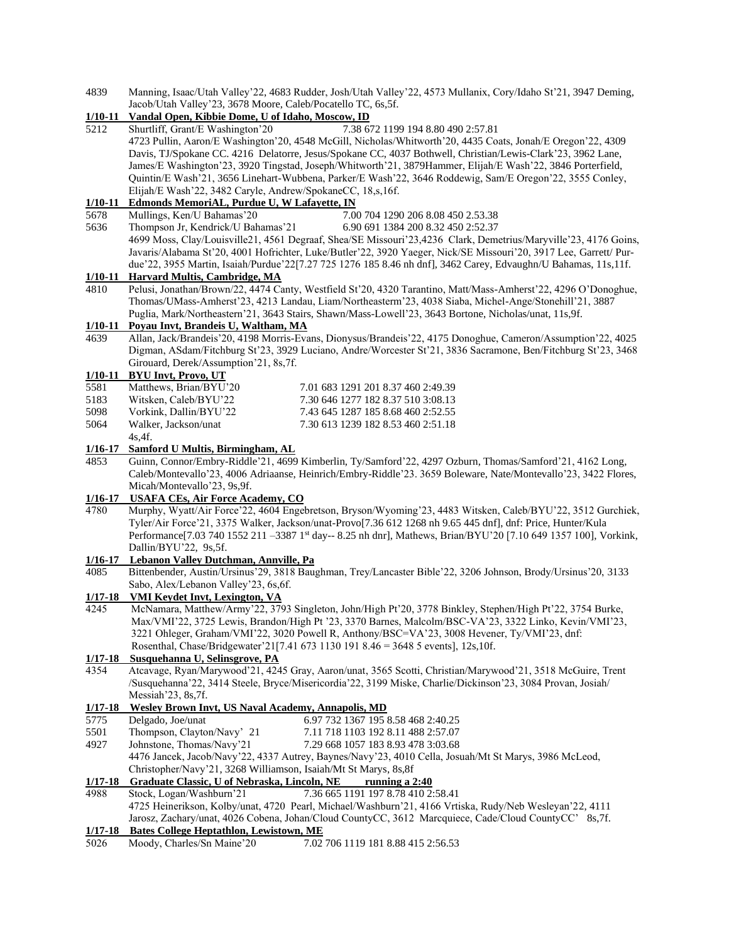4839 Manning, Isaac/Utah Valley'22, 4683 Rudder, Josh/Utah Valley'22, 4573 Mullanix, Cory/Idaho St'21, 3947 Deming, Jacob/Utah Valley'23, 3678 Moore, Caleb/Pocatello TC, 6s,5f.

# **1/10-11 Vandal Open, Kibbie Dome, U of Idaho, Moscow, ID**

5212 Shurtliff, Grant/E Washington'20 7.38 672 1199 194 8.80 490 2:57.81 4723 Pullin, Aaron/E Washington'20, 4548 McGill, Nicholas/Whitworth'20, 4435 Coats, Jonah/E Oregon'22, 4309 Davis, TJ/Spokane CC. 4216 Delatorre, Jesus/Spokane CC, 4037 Bothwell, Christian/Lewis-Clark'23, 3962 Lane, James/E Washington'23, 3920 Tingstad, Joseph/Whitworth'21, 3879Hammer, Elijah/E Wash'22, 3846 Porterfield, Quintin/E Wash'21, 3656 Linehart-Wubbena, Parker/E Wash'22, 3646 Roddewig, Sam/E Oregon'22, 3555 Conley, Elijah/E Wash'22, 3482 Caryle, Andrew/SpokaneCC, 18,s,16f.

# **1/10-11 Edmonds MemoriAL, Purdue U, W Lafayette, IN**

- 5678 Mullings, Ken/U Bahamas'20 7.00 704 1290 206 8.08 450 2.53.38
- 5636 Thompson Jr, Kendrick/U Bahamas'21 6.90 691 1384 200 8.32 450 2:52.37 4699 Moss, Clay/Louisville21, 4561 Degraaf, Shea/SE Missouri'23,4236 Clark, Demetrius/Maryville'23, 4176 Goins, Javaris/Alabama St'20, 4001 Hofrichter, Luke/Butler'22, 3920 Yaeger, Nick/SE Missouri'20, 3917 Lee, Garrett/ Purdue'22, 3955 Martin, Isaiah/Purdue'22[7.27 725 1276 185 8.46 nh dnf], 3462 Carey, Edvaughn/U Bahamas, 11s,11f.

# **1/10-11 Harvard Multis, Cambridge, MA**

4810 Pelusi, Jonathan/Brown/22, 4474 Canty, Westfield St'20, 4320 Tarantino, Matt/Mass-Amherst'22, 4296 O'Donoghue, Thomas/UMass-Amherst'23, 4213 Landau, Liam/Northeasterm'23, 4038 Siaba, Michel-Ange/Stonehill'21, 3887 Puglia, Mark/Northeastern'21, 3643 Stairs, Shawn/Mass-Lowell'23, 3643 Bortone, Nicholas/unat, 11s,9f.

# **1/10-11 Poyau Invt, Brandeis U, Waltham, MA**

4639 Allan, Jack/Brandeis'20, 4198 Morris-Evans, Dionysus/Brandeis'22, 4175 Donoghue, Cameron/Assumption'22, 4025 Digman, ASdam/Fitchburg St'23, 3929 Luciano, Andre/Worcester St'21, 3836 Sacramone, Ben/Fitchburg St'23, 3468 Girouard, Derek/Assumption'21, 8s,7f.

#### **1/10-11 BYU Invt, Provo, UT**

| 5581 | Matthews, Brian/BYU'20 | 7.01 683 1291 201 8.37 460 2:49.39 |
|------|------------------------|------------------------------------|
| 5183 | Witsken, Caleb/BYU'22  | 7.30 646 1277 182 8.37 510 3:08.13 |
| 5098 | Vorkink, Dallin/BYU'22 | 7.43 645 1287 185 8.68 460 2:52.55 |
| 5064 | Walker, Jackson/unat   | 7.30 613 1239 182 8.53 460 2:51.18 |

#### 4s,4f. **1/16-17 Samford U Multis, Birmingham, AL**

4853 Guinn, Connor/Embry-Riddle'21, 4699 Kimberlin, Ty/Samford'22, 4297 Ozburn, Thomas/Samford'21, 4162 Long, Caleb/Montevallo'23, 4006 Adriaanse, Heinrich/Embry-Riddle'23. 3659 Boleware, Nate/Montevallo'23, 3422 Flores, Micah/Montevallo'23, 9s,9f.

### **1/16-17 USAFA CEs, Air Force Academy, CO**

4780 Murphy, Wyatt/Air Force'22, 4604 Engebretson, Bryson/Wyoming'23, 4483 Witsken, Caleb/BYU'22, 3512 Gurchiek, Tyler/Air Force'21, 3375 Walker, Jackson/unat-Provo[7.36 612 1268 nh 9.65 445 dnf], dnf: Price, Hunter/Kula Performance[7.03 740 1552 211 -3387 1st day-- 8.25 nh dnr], Mathews, Brian/BYU'20 [7.10 649 1357 100], Vorkink, Dallin/BYU'22, 9s,5f.

# **1/16-17 Lebanon Valley Dutchman, Annville, Pa**

4085 Bittenbender, Austin/Ursinus'29, 3818 Baughman, Trey/Lancaster Bible'22, 3206 Johnson, Brody/Ursinus'20, 3133 Sabo, Alex/Lebanon Valley'23, 6s,6f.

#### **1/17-18 VMI Keydet Invt, Lexington, VA**

4245 McNamara, Matthew/Army'22, 3793 Singleton, John/High Pt'20, 3778 Binkley, Stephen/High Pt'22, 3754 Burke, Max/VMI'22, 3725 Lewis, Brandon/High Pt '23, 3370 Barnes, Malcolm/BSC-VA'23, 3322 Linko, Kevin/VMI'23, 3221 Ohleger, Graham/VMI'22, 3020 Powell R, Anthony/BSC=VA'23, 3008 Hevener, Ty/VMI'23, dnf: Rosenthal, Chase/Bridgewater'21[7.41 673 1130 191 8.46 = 3648 5 events], 12s,10f.

#### **1/17-18 Susquehanna U, Selinsgrove, PA**

4354 Atcavage, Ryan/Marywood'21, 4245 Gray, Aaron/unat, 3565 Scotti, Christian/Marywood'21, 3518 McGuire, Trent /Susquehanna'22, 3414 Steele, Bryce/Misericordia'22, 3199 Miske, Charlie/Dickinson'23, 3084 Provan, Josiah/ Messiah'23, 8s,7f.

# **1/17-18 Wesley Brown Invt, US Naval Academy, Annapolis, MD**

- 5775 Delgado, Joe/unat 6.97 732 1367 195 8.58 468 2:40.25
- 5501 Thompson, Clayton/Navy' 21 7.11 718 1103 192 8.11 488 2:57.07
- 4927 Johnstone, Thomas/Navy'21 7.29 668 1057 183 8.93 478 3:03.68 4476 Jancek, Jacob/Navy'22, 4337 Autrey, Baynes/Navy'23, 4010 Cella, Josuah/Mt St Marys, 3986 McLeod,

# Christopher/Navy'21, 3268 Williamson, Isaiah/Mt St Marys, 8s,8f

# **1/17-18 Graduate Classic, U of Nebraska, Lincoln, NE running a 2:40**

4988 Stock, Logan/Washburn'21 7.36 665 1191 197 8.78 410 2:58.41 4725 Heinerikson, Kolby/unat, 4720 Pearl, Michael/Washburn'21, 4166 Vrtiska, Rudy/Neb Wesleyan'22, 4111 Jarosz, Zachary/unat, 4026 Cobena, Johan/Cloud CountyCC, 3612 Marcquiece, Cade/Cloud CountyCC' 8s,7f.

**1/17-18 Bates College Heptathlon, Lewistown, ME**<br>
5026 Moody, Charles/Sn Maine 20 7.02 706 1119 181 8.88 415 2:56.53 5026 Moody, Charles/Sn Maine'20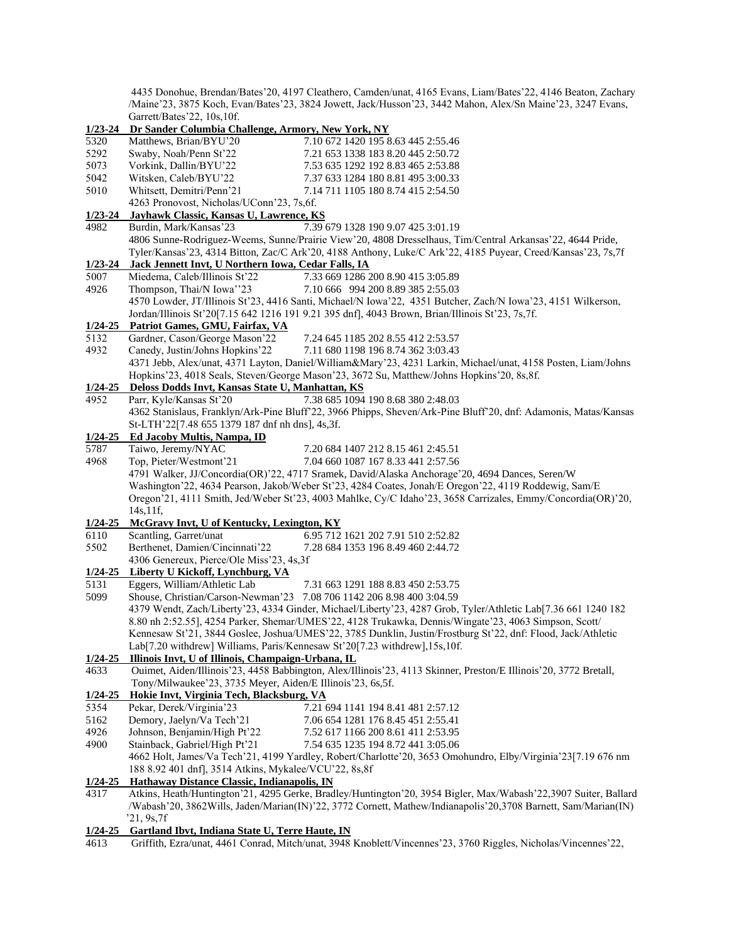4435 Donohue, Brendan/Bates'20, 4197 Cleathero, Camden/unat, 4165 Evans, Liam/Bates'22, 4146 Beaton, Zachary /Maine'23, 3875 Koch, Evan/Bates'23, 3824 Jowett, Jack/Husson'23, 3442 Mahon, Alex/Sn Maine'23, 3247 Evans, Garrett/Bates'22, 10s,10f.

#### **1/23-24 Dr Sander Columbia Challenge, Armory, New York, NY**

| $1/23 - 24$ | Dr Sander Columbia Challenge, Armory, New York, NY                                                            |                                                                                                                  |  |  |
|-------------|---------------------------------------------------------------------------------------------------------------|------------------------------------------------------------------------------------------------------------------|--|--|
| 5320        | Matthews, Brian/BYU'20                                                                                        | 7.10 672 1420 195 8.63 445 2:55.46                                                                               |  |  |
| 5292        | Swaby, Noah/Penn St'22                                                                                        | 7.21 653 1338 183 8.20 445 2:50.72                                                                               |  |  |
| 5073        | Vorkink, Dallin/BYU'22                                                                                        | 7.53 635 1292 192 8.83 465 2:53.88                                                                               |  |  |
| 5042        | Witsken, Caleb/BYU'22                                                                                         | 7.37 633 1284 180 8.81 495 3:00.33                                                                               |  |  |
| 5010        | Whitsett, Demitri/Penn'21                                                                                     | 7.14 711 1105 180 8.74 415 2:54.50                                                                               |  |  |
|             | 4263 Pronovost, Nicholas/UConn'23, 7s, 6f.                                                                    |                                                                                                                  |  |  |
| $1/23 - 24$ | <b>Jayhawk Classic, Kansas U, Lawrence, KS</b>                                                                |                                                                                                                  |  |  |
| 4982        | Burdin, Mark/Kansas'23<br>7.39 679 1328 190 9.07 425 3:01.19                                                  |                                                                                                                  |  |  |
|             |                                                                                                               | 4806 Sunne-Rodriguez-Weems, Sunne/Prairie View'20, 4808 Dresselhaus, Tim/Central Arkansas'22, 4644 Pride,        |  |  |
|             |                                                                                                               | Tyler/Kansas'23, 4314 Bitton, Zac/C Ark'20, 4188 Anthony, Luke/C Ark'22, 4185 Puyear, Creed/Kansas'23, 7s,7f     |  |  |
|             |                                                                                                               |                                                                                                                  |  |  |
| $1/23 - 24$ | Jack Jennett Invt, U Northern Iowa, Cedar Falls, IA                                                           |                                                                                                                  |  |  |
| 5007        | Miedema, Caleb/Illinois St'22                                                                                 | 7.33 669 1286 200 8.90 415 3:05.89                                                                               |  |  |
| 4926        | Thompson, Thai/N Iowa"23                                                                                      | 7.10 666 994 200 8.89 385 2:55.03                                                                                |  |  |
|             |                                                                                                               | 4570 Lowder, JT/Illinois St'23, 4416 Santi, Michael/N Iowa'22, 4351 Butcher, Zach/N Iowa'23, 4151 Wilkerson,     |  |  |
|             |                                                                                                               | Jordan/Illinois St'20[7.15 642 1216 191 9.21 395 dnf], 4043 Brown, Brian/Illinois St'23, 7s,7f.                  |  |  |
| $1/24 - 25$ | Patriot Games, GMU, Fairfax, VA                                                                               |                                                                                                                  |  |  |
| 5132        | Gardner, Cason/George Mason'22                                                                                | 7.24 645 1185 202 8.55 412 2:53.57                                                                               |  |  |
| 4932        | Canedy, Justin/Johns Hopkins'22                                                                               | 7.11 680 1198 196 8.74 362 3:03.43                                                                               |  |  |
|             |                                                                                                               | 4371 Jebb, Alex/unat, 4371 Layton, Daniel/William&Mary'23, 4231 Larkin, Michael/unat, 4158 Posten, Liam/Johns    |  |  |
|             |                                                                                                               | Hopkins'23, 4018 Seals, Steven/George Mason'23, 3672 Su, Matthew/Johns Hopkins'20, 8s, 8f.                       |  |  |
| $1/24 - 25$ | Deloss Dodds Invt, Kansas State U, Manhattan, KS                                                              |                                                                                                                  |  |  |
| 4952        | Parr, Kyle/Kansas St'20                                                                                       | 7.38 685 1094 190 8.68 380 2:48.03                                                                               |  |  |
|             |                                                                                                               | 4362 Stanislaus, Franklyn/Ark-Pine Bluff 22, 3966 Phipps, Sheven/Ark-Pine Bluff 20, dnf: Adamonis, Matas/Kansas  |  |  |
|             | St-LTH'22[7.48 655 1379 187 dnf nh dns], 4s,3f.                                                               |                                                                                                                  |  |  |
| $1/24 - 25$ | <b>Ed Jacoby Multis, Nampa, ID</b>                                                                            |                                                                                                                  |  |  |
| 5787        | Taiwo, Jeremy/NYAC                                                                                            | 7.20 684 1407 212 8.15 461 2:45.51                                                                               |  |  |
| 4968        | Top, Pieter/Westmont'21                                                                                       | 7.04 660 1087 167 8.33 441 2:57.56                                                                               |  |  |
|             |                                                                                                               | 4791 Walker, JJ/Concordia(OR)'22, 4717 Sramek, David/Alaska Anchorage'20, 4694 Dances, Seren/W                   |  |  |
|             |                                                                                                               | Washington'22, 4634 Pearson, Jakob/Weber St'23, 4284 Coates, Jonah/E Oregon'22, 4119 Roddewig, Sam/E             |  |  |
|             |                                                                                                               | Oregon'21, 4111 Smith, Jed/Weber St'23, 4003 Mahlke, Cy/C Idaho'23, 3658 Carrizales, Emmy/Concordia(OR)'20,      |  |  |
|             | 14s, 11f,                                                                                                     |                                                                                                                  |  |  |
| $1/24 - 25$ | McGravy Invt, U of Kentucky, Lexington, KY                                                                    |                                                                                                                  |  |  |
| 6110        | Scantling, Garret/unat                                                                                        | 6.95 712 1621 202 7.91 510 2:52.82                                                                               |  |  |
| 5502        | Berthenet, Damien/Cincinnati'22                                                                               | 7.28 684 1353 196 8.49 460 2:44.72                                                                               |  |  |
|             | 4306 Genereux, Pierce/Ole Miss'23, 4s,3f                                                                      |                                                                                                                  |  |  |
| $1/24 - 25$ | Liberty U Kickoff, Lynchburg, VA                                                                              |                                                                                                                  |  |  |
|             |                                                                                                               |                                                                                                                  |  |  |
| 5131        | Eggers, William/Athletic Lab                                                                                  | 7.31 663 1291 188 8.83 450 2:53.75                                                                               |  |  |
| 5099        | Shouse, Christian/Carson-Newman'23 7.08 706 1142 206 8.98 400 3:04.59                                         |                                                                                                                  |  |  |
|             |                                                                                                               | 4379 Wendt, Zach/Liberty'23, 4334 Ginder, Michael/Liberty'23, 4287 Grob, Tyler/Athletic Lab[7.36 661 1240 182    |  |  |
|             |                                                                                                               | 8.80 nh 2:52.55], 4254 Parker, Shemar/UMES'22, 4128 Trukawka, Dennis/Wingate'23, 4063 Simpson, Scott/            |  |  |
|             |                                                                                                               | Kennesaw St'21, 3844 Goslee, Joshua/UMES'22, 3785 Dunklin, Justin/Frostburg St'22, dnf: Flood, Jack/Athletic     |  |  |
|             | Lab[7.20 withdrew] Williams, Paris/Kennesaw St'20[7.23 withdrew], 15s, 10f.                                   |                                                                                                                  |  |  |
|             | 1/24-25 Illinois Invt, U of Illinois, Champaign-Urbana, IL                                                    |                                                                                                                  |  |  |
| 4633        |                                                                                                               | Ouimet, Aiden/Illinois'23, 4458 Babbington, Alex/Illinois'23, 4113 Skinner, Preston/E Illinois'20, 3772 Bretall, |  |  |
|             | Tony/Milwaukee'23, 3735 Meyer, Aiden/E Illinois'23, 6s,5f.                                                    |                                                                                                                  |  |  |
| $1/24 - 25$ | Hokie Invt, Virginia Tech, Blacksburg, VA                                                                     |                                                                                                                  |  |  |
| 5354        | Pekar, Derek/Virginia'23                                                                                      | 7.21 694 1141 194 8.41 481 2:57.12                                                                               |  |  |
| 5162        | Demory, Jaelyn/Va Tech'21                                                                                     | 7.06 654 1281 176 8.45 451 2:55.41                                                                               |  |  |
| 4926        | Johnson, Benjamin/High Pt'22                                                                                  | 7.52 617 1166 200 8.61 411 2:53.95                                                                               |  |  |
| 4900        | Stainback, Gabriel/High Pt'21                                                                                 | 7.54 635 1235 194 8.72 441 3:05.06                                                                               |  |  |
|             |                                                                                                               | 4662 Holt, James/Va Tech'21, 4199 Yardley, Robert/Charlotte'20, 3653 Omohundro, Elby/Virginia'23[7.19 676 nm     |  |  |
|             | 188 8.92 401 dnf], 3514 Atkins, Mykalee/VCU'22, 8s,8f                                                         |                                                                                                                  |  |  |
| $1/24 - 25$ | Hathaway Distance Classic, Indianapolis, IN                                                                   |                                                                                                                  |  |  |
| 4317        |                                                                                                               | Atkins, Heath/Huntington'21, 4295 Gerke, Bradley/Huntington'20, 3954 Bigler, Max/Wabash'22,3907 Suiter, Ballard  |  |  |
|             | /Wabash'20, 3862Wills, Jaden/Marian(IN)'22, 3772 Cornett, Mathew/Indianapolis'20,3708 Barnett, Sam/Marian(IN) |                                                                                                                  |  |  |
|             | 21, 9s, 7f                                                                                                    |                                                                                                                  |  |  |
| 1/24-25     | Gartland Ibvt, Indiana State U, Terre Haute, IN                                                               |                                                                                                                  |  |  |
|             |                                                                                                               |                                                                                                                  |  |  |

4613 Griffith, Ezra/unat, 4461 Conrad, Mitch/unat, 3948 Knoblett/Vincennes'23, 3760 Riggles, Nicholas/Vincennes'22,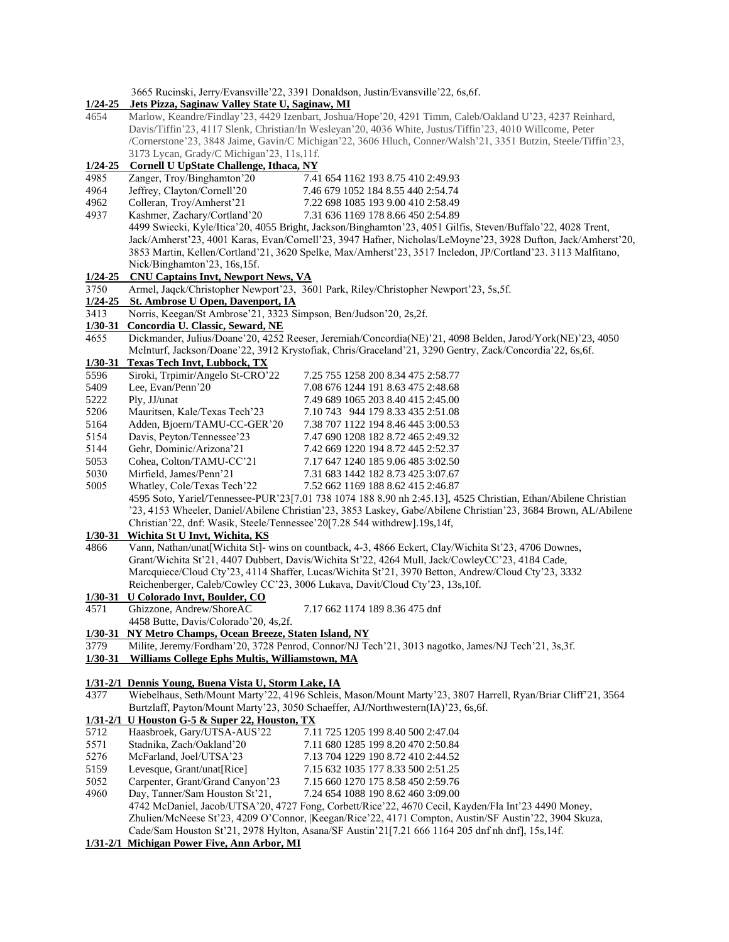3665 Rucinski, Jerry/Evansville'22, 3391 Donaldson, Justin/Evansville'22, 6s,6f.

|             | 1/24-25 Jets Pizza, Saginaw Valley State U, Saginaw, MI                                                   |                                                                                                                                           |  |
|-------------|-----------------------------------------------------------------------------------------------------------|-------------------------------------------------------------------------------------------------------------------------------------------|--|
| 4654        | Marlow, Keandre/Findlay'23, 4429 Izenbart, Joshua/Hope'20, 4291 Timm, Caleb/Oakland U'23, 4237 Reinhard,  |                                                                                                                                           |  |
|             | Davis/Tiffin'23, 4117 Slenk, Christian/In Wesleyan'20, 4036 White, Justus/Tiffin'23, 4010 Willcome, Peter |                                                                                                                                           |  |
|             |                                                                                                           | /Cornerstone'23, 3848 Jaime, Gavin/C Michigan'22, 3606 Hluch, Conner/Walsh'21, 3351 Butzin, Steele/Tiffin'23,                             |  |
|             | 3173 Lycan, Grady/C Michigan'23, 11s, 11f.                                                                |                                                                                                                                           |  |
| $1/24 - 25$ | <b>Cornell U UpState Challenge, Ithaca, NY</b>                                                            |                                                                                                                                           |  |
| 4985        | Zanger, Troy/Binghamton'20                                                                                | 7.41 654 1162 193 8.75 410 2:49.93                                                                                                        |  |
| 4964        | Jeffrey, Clayton/Cornell'20                                                                               | 7.46 679 1052 184 8.55 440 2:54.74                                                                                                        |  |
| 4962        | Colleran, Troy/Amherst'21                                                                                 | 7.22 698 1085 193 9.00 410 2:58.49                                                                                                        |  |
| 4937        | Kashmer, Zachary/Cortland'20                                                                              | 7.31 636 1169 178 8.66 450 2:54.89                                                                                                        |  |
|             |                                                                                                           | 4499 Swiecki, Kyle/Itica'20, 4055 Bright, Jackson/Binghamton'23, 4051 Gilfis, Steven/Buffalo'22, 4028 Trent,                              |  |
|             |                                                                                                           | Jack/Amherst'23, 4001 Karas, Evan/Cornell'23, 3947 Hafner, Nicholas/LeMoyne'23, 3928 Dufton, Jack/Amherst'20,                             |  |
|             |                                                                                                           | 3853 Martin, Kellen/Cortland'21, 3620 Spelke, Max/Amherst'23, 3517 Incledon, JP/Cortland'23. 3113 Malfitano,                              |  |
|             | Nick/Binghamton'23, 16s,15f.                                                                              |                                                                                                                                           |  |
| $1/24 - 25$ | <b>CNU Captains Invt, Newport News, VA</b>                                                                |                                                                                                                                           |  |
| 3750        |                                                                                                           | Armel, Jaqck/Christopher Newport'23, 3601 Park, Riley/Christopher Newport'23, 5s, 5f.                                                     |  |
| $1/24 - 25$ | <b>St. Ambrose U Open, Davenport, IA</b>                                                                  |                                                                                                                                           |  |
| 3413        | Norris, Keegan/St Ambrose'21, 3323 Simpson, Ben/Judson'20, 2s,2f.                                         |                                                                                                                                           |  |
| $1/30 - 31$ | Concordia U. Classic, Seward, NE                                                                          |                                                                                                                                           |  |
| 4655        |                                                                                                           | Dickmander, Julius/Doane'20, 4252 Reeser, Jeremiah/Concordia(NE)'21, 4098 Belden, Jarod/York(NE)'23, 4050                                 |  |
|             |                                                                                                           | McInturf, Jackson/Doane'22, 3912 Krystofiak, Chris/Graceland'21, 3290 Gentry, Zack/Concordia'22, 6s,6f.                                   |  |
| $1/30 - 31$ | <b>Texas Tech Invt, Lubbock, TX</b>                                                                       |                                                                                                                                           |  |
| 5596        | Siroki, Trpimir/Angelo St-CRO'22                                                                          | 7.25 755 1258 200 8.34 475 2:58.77                                                                                                        |  |
| 5409        | Lee, Evan/Penn'20                                                                                         | 7.08 676 1244 191 8.63 475 2:48.68                                                                                                        |  |
| 5222        | Ply, JJ/unat                                                                                              | 7.49 689 1065 203 8.40 415 2:45.00                                                                                                        |  |
| 5206        | Mauritsen, Kale/Texas Tech'23                                                                             | 7.10 743 944 179 8.33 435 2:51.08                                                                                                         |  |
| 5164        | Adden, Bjoern/TAMU-CC-GER'20                                                                              | 7.38 707 1122 194 8.46 445 3:00.53                                                                                                        |  |
| 5154        | Davis, Peyton/Tennessee'23                                                                                | 7.47 690 1208 182 8.72 465 2:49.32                                                                                                        |  |
| 5144        | Gehr, Dominic/Arizona'21                                                                                  | 7.42 669 1220 194 8.72 445 2:52.37                                                                                                        |  |
| 5053        | Cohea, Colton/TAMU-CC'21                                                                                  | 7.17 647 1240 185 9.06 485 3:02.50                                                                                                        |  |
| 5030        | Mirfield, James/Penn'21                                                                                   | 7.31 683 1442 182 8.73 425 3:07.67                                                                                                        |  |
| 5005        | Whatley, Cole/Texas Tech'22                                                                               | 7.52 662 1169 188 8.62 415 2:46.87                                                                                                        |  |
|             |                                                                                                           | 4595 Soto, Yariel/Tennessee-PUR'23[7.01 738 1074 188 8.90 nh 2:45.13], 4525 Christian, Ethan/Abilene Christian                            |  |
|             |                                                                                                           | '23, 4153 Wheeler, Daniel/Abilene Christian'23, 3853 Laskey, Gabe/Abilene Christian'23, 3684 Brown, AL/Abilene                            |  |
|             | Christian'22, dnf: Wasik, Steele/Tennessee'20[7.28 544 withdrew].19s,14f,                                 |                                                                                                                                           |  |
| $1/30 - 31$ | Wichita St U Invt, Wichita, KS                                                                            |                                                                                                                                           |  |
| 4866        |                                                                                                           | Vann, Nathan/unat[Wichita St]- wins on countback, 4-3, 4866 Eckert, Clay/Wichita St'23, 4706 Downes,                                      |  |
|             |                                                                                                           | Grant/Wichita St'21, 4407 Dubbert, Davis/Wichita St'22, 4264 Mull, Jack/CowleyCC'23, 4184 Cade,                                           |  |
|             |                                                                                                           | Marcquiece/Cloud Cty'23, 4114 Shaffer, Lucas/Wichita St'21, 3970 Betton, Andrew/Cloud Cty'23, 3332                                        |  |
|             |                                                                                                           | Reichenberger, Caleb/Cowley CC'23, 3006 Lukava, Davit/Cloud Cty'23, 13s,10f.                                                              |  |
|             | 1/30-31 U Colorado Invt, Boulder, CO                                                                      |                                                                                                                                           |  |
| 4571        | Ghizzone, Andrew/ShoreAC                                                                                  | 7.17 662 1174 189 8.36 475 dnf                                                                                                            |  |
|             | 4458 Butte, Davis/Colorado'20, 4s,2f.                                                                     |                                                                                                                                           |  |
|             | 1/30-31 NY Metro Champs, Ocean Breeze, Staten Island, NY                                                  |                                                                                                                                           |  |
| 3779        |                                                                                                           | Milite, Jeremy/Fordham'20, 3728 Penrod, Connor/NJ Tech'21, 3013 nagotko, James/NJ Tech'21, 3s,3f.                                         |  |
| $1/30 - 31$ | Williams College Ephs Multis, Williamstown, MA                                                            |                                                                                                                                           |  |
|             | 1/31-2/1 Dennis Young, Buena Vista U, Storm Lake, IA                                                      |                                                                                                                                           |  |
| 4377        |                                                                                                           | Wiebelhaus, Seth/Mount Marty'22, 4196 Schleis, Mason/Mount Marty'23, 3807 Harrell, Ryan/Briar Cliff'21, 3564                              |  |
|             |                                                                                                           | Burtzlaff, Payton/Mount Marty'23, 3050 Schaeffer, AJ/Northwestern(IA)'23, 6s, 6f.                                                         |  |
|             | $1/31-2/1$ U Houston G-5 & Super 22, Houston, TX                                                          |                                                                                                                                           |  |
| 5712        | Haasbroek, Gary/UTSA-AUS'22                                                                               | 7.11 725 1205 199 8.40 500 2:47.04                                                                                                        |  |
| 5571        | Stadnika, Zach/Oakland'20                                                                                 | 7.11 680 1285 199 8.20 470 2:50.84                                                                                                        |  |
| 5276        | McFarland, Joel/UTSA'23                                                                                   | 7.13 704 1229 190 8.72 410 2:44.52                                                                                                        |  |
| 5159        |                                                                                                           |                                                                                                                                           |  |
|             | Levesque, Grant/unat[Rice]                                                                                | 7.15 632 1035 177 8.33 500 2:51.25                                                                                                        |  |
| 5052        | Carpenter, Grant/Grand Canyon'23                                                                          | 7.15 660 1270 175 8.58 450 2:59.76                                                                                                        |  |
| 4960        | Day, Tanner/Sam Houston St'21,                                                                            | 7.24 654 1088 190 8.62 460 3:09.00<br>4742 McDaniel, Jacob/UTSA'20, 4727 Fong, Corbett/Rice'22, 4670 Cecil, Kayden/Fla Int'23 4490 Money, |  |
|             |                                                                                                           | Zhulien/McNeese St'23, 4209 O'Connor,  Keegan/Rice'22, 4171 Compton, Austin/SF Austin'22, 3904 Skuza,                                     |  |
|             |                                                                                                           | Cade/Sam Houston St'21, 2978 Hylton, Asana/SF Austin'21[7.21 666 1164 205 dnf nh dnf], 15s,14f.                                           |  |
|             | 1/31-2/1 Michigan Power Five, Ann Arbor, MI                                                               |                                                                                                                                           |  |
|             |                                                                                                           |                                                                                                                                           |  |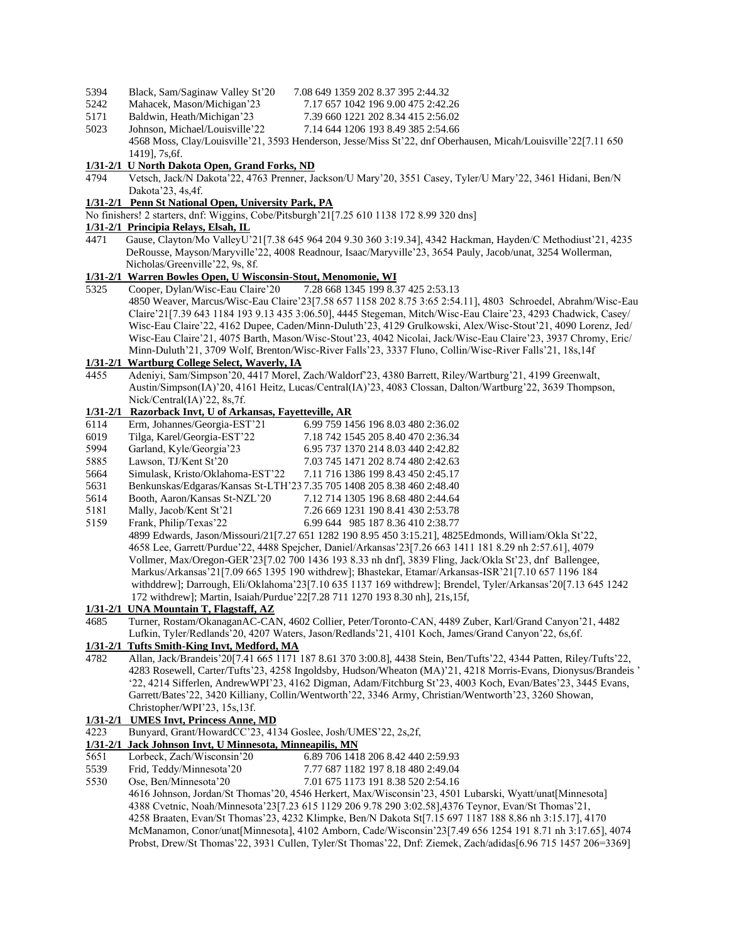- 5394 Black, Sam/Saginaw Valley St'20 7.08 649 1359 202 8.37 395 2:44.32
- 5242 Mahacek, Mason/Michigan'23 7.17 657 1042 196 9.00 475 2:42.26
- 5171 Baldwin, Heath/Michigan'23 7.39 660 1221 202 8.34 415 2:56.02
- 5023 Johnson, Michael/Louisville'22 7.14 644 1206 193 8.49 385 2:54.66 4568 Moss, Clay/Louisville'21, 3593 Henderson, Jesse/Miss St'22, dnf Oberhausen, Micah/Louisville'22[7.11 650 1419], 7s,6f.

#### **1/31-2/1 U North Dakota Open, Grand Forks, ND**

4794 Vetsch, Jack/N Dakota'22, 4763 Prenner, Jackson/U Mary'20, 3551 Casey, Tyler/U Mary'22, 3461 Hidani, Ben/N Dakota'23, 4s,4f.

# **1/31-2/1 Penn St National Open, University Park, PA**

No finishers! 2 starters, dnf: Wiggins, Cobe/Pitsburgh'21[7.25 610 1138 172 8.99 320 dns]

### **1/31-2/1 Principia Relays, Elsah, IL**

4471 Gause, Clayton/Mo ValleyU'21[7.38 645 964 204 9.30 360 3:19.34], 4342 Hackman, Hayden/C Methodiust'21, 4235 DeRousse, Mayson/Maryville'22, 4008 Readnour, Isaac/Maryville'23, 3654 Pauly, Jacob/unat, 3254 Wollerman, Nicholas/Greenville'22, 9s, 8f.

## **1/31-2/1 Warren Bowles Open, U Wisconsin-Stout, Menomonie, WI**

5325 Cooper, Dylan/Wisc-Eau Claire'20 7.28 668 1345 199 8.37 425 2:53.13 4850 Weaver, Marcus/Wisc-Eau Claire'23[7.58 657 1158 202 8.75 3:65 2:54.11], 4803 Schroedel, Abrahm/Wisc-Eau Claire'21[7.39 643 1184 193 9.13 435 3:06.50], 4445 Stegeman, Mitch/Wisc-Eau Claire'23, 4293 Chadwick, Casey/ Wisc-Eau Claire'22, 4162 Dupee, Caden/Minn-Duluth'23, 4129 Grulkowski, Alex/Wisc-Stout'21, 4090 Lorenz, Jed/ Wisc-Eau Claire'21, 4075 Barth, Mason/Wisc-Stout'23, 4042 Nicolai, Jack/Wisc-Eau Claire'23, 3937 Chromy, Eric/ Minn-Duluth'21, 3709 Wolf, Brenton/Wisc-River Falls'23, 3337 Fluno, Collin/Wisc-River Falls'21, 18s,14f

### **1/31-2/1 Wartburg College Select, Waverly, IA**

4455 Adeniyi, Sam/Simpson'20, 4417 Morel, Zach/Waldorf'23, 4380 Barrett, Riley/Wartburg'21, 4199 Greenwalt, Austin/Simpson(IA)'20, 4161 Heitz, Lucas/Central(IA)'23, 4083 Clossan, Dalton/Wartburg'22, 3639 Thompson, Nick/Central(IA)'22, 8s,7f.

# **1/31-2/1 Razorback Invt, U of Arkansas, Fayetteville, AR**

- 6114 Erm, Johannes/Georgia-EST'21 6.99 759 1456 196 8.03 480 2:36.02
- 6019 Tilga, Karel/Georgia-EST'22 7.18 742 1545 205 8.40 470 2:36.34
- 5994 Garland, Kyle/Georgia'23 6.95 737 1370 214 8.03 440 2:42.82
- 5885 Lawson, TJ/Kent St'20 7.03 745 1471 202 8.74 480 2:42.63 5664 Simulask, Kristo/Oklahoma-EST'22 7.11 716 1386 199 8.43 450 2:45.17
- 5631 Benkunskas/Edgaras/Kansas St-LTH'23 7.35 705 1408 205 8.38 460 2:48.40
- 5614 Booth, Aaron/Kansas St-NZL'20 7.12 714 1305 196 8.68 480 2:44.64
- 5181 Mally, Jacob/Kent St'21 7.26 669 1231 190 8.41 430 2:53.78
- 5159 Frank, Philip/Texas'22 6.99 644 985 187 8.36 410 2:38.77
- 4899 Edwards, Jason/Missouri/21[7.27 651 1282 190 8.95 450 3:15.21], 4825Edmonds, William/Okla St'22, 4658 Lee, Garrett/Purdue'22, 4488 Spejcher, Daniel/Arkansas'23[7.26 663 1411 181 8.29 nh 2:57.61], 4079 Vollmer, Max/Oregon-GER'23[7.02 700 1436 193 8.33 nh dnf], 3839 Fling, Jack/Okla St'23, dnf Ballengee, Markus/Arkansas'21[7.09 665 1395 190 withdrew]; Bhastekar, Etamar/Arkansas-ISR'21[7.10 657 1196 184 withddrew]; Darrough, Eli/Oklahoma'23[7.10 635 1137 169 withdrew]; Brendel, Tyler/Arkansas'20[7.13 645 1242 172 withdrew]; Martin, Isaiah/Purdue'22[7.28 711 1270 193 8.30 nh], 21s,15f,

#### **1/31-2/1 UNA Mountain T, Flagstaff, AZ**

4685 Turner, Rostam/OkanaganAC-CAN, 4602 Collier, Peter/Toronto-CAN, 4489 Zuber, Karl/Grand Canyon'21, 4482 Lufkin, Tyler/Redlands'20, 4207 Waters, Jason/Redlands'21, 4101 Koch, James/Grand Canyon'22, 6s,6f.

# **1/31-2/1 Tufts Smith-King Invt, Medford, MA**

4782 Allan, Jack/Brandeis'20[7.41 665 1171 187 8.61 370 3:00.8], 4438 Stein, Ben/Tufts'22, 4344 Patten, Riley/Tufts'22, 4283 Rosewell, Carter/Tufts'23, 4258 Ingoldsby, Hudson/Wheaton (MA)'21, 4218 Morris-Evans, Dionysus/Brandeis ' '22, 4214 Sifferlen, AndrewWPI'23, 4162 Digman, Adam/Fitchburg St'23, 4003 Koch, Evan/Bates'23, 3445 Evans, Garrett/Bates'22, 3420 Killiany, Collin/Wentworth'22, 3346 Army, Christian/Wentworth'23, 3260 Showan, Christopher/WPI'23, 15s,13f.

#### **1/31-2/1 UMES Invt, Princess Anne, MD**

- 4223 Bunyard, Grant/HowardCC'23, 4134 Goslee, Josh/UMES'22, 2s,2f,
- **1/31-2/1 Jack Johnson Invt, U Minnesota, Minneapilis, MN**
- 5651 Lorbeck, Zach/Wisconsin'20 6.89 706 1418 206 8.42 440 2:59.93
- 5539 Frid, Teddy/Minnesota'20 7.77 687 1182 197 8.18 480 2:49.04
- 5530 Ose, Ben/Minnesota'20 7.01 675 1173 191 8.38 520 2:54.16

 4616 Johnson, Jordan/St Thomas'20, 4546 Herkert, Max/Wisconsin'23, 4501 Lubarski, Wyatt/unat[Minnesota] 4388 Cvetnic, Noah/Minnesota'23[7.23 615 1129 206 9.78 290 3:02.58],4376 Teynor, Evan/St Thomas'21, 4258 Braaten, Evan/St Thomas'23, 4232 Klimpke, Ben/N Dakota St[7.15 697 1187 188 8.86 nh 3:15.17], 4170 McManamon, Conor/unat[Minnesota], 4102 Amborn, Cade/Wisconsin'23[7.49 656 1254 191 8.71 nh 3:17.65], 4074 Probst, Drew/St Thomas'22, 3931 Cullen, Tyler/St Thomas'22, Dnf: Ziemek, Zach/adidas[6.96 715 1457 206=3369]